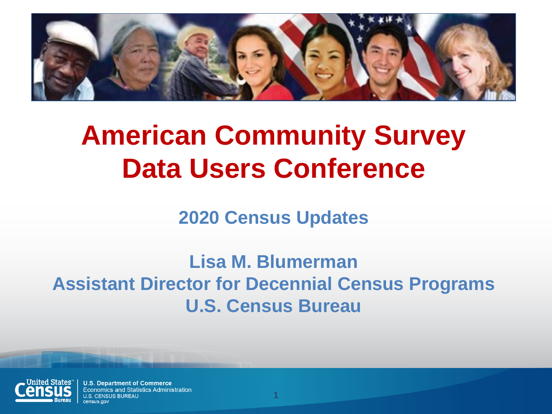

# **American Community Survey Data Users Conference**

**2020 Census Updates**

**Lisa M. Blumerman Assistant Director for Decennial Census Programs U.S. Census Bureau**

**1**



**U.S. Department of Commerce Economics and Statistics Administration CENSUS BUREAU**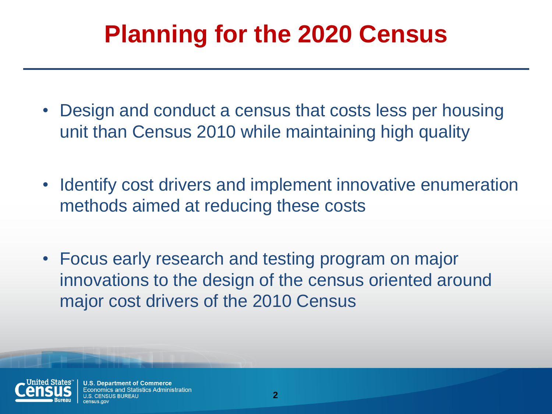## **Planning for the 2020 Census**

- Design and conduct a census that costs less per housing unit than Census 2010 while maintaining high quality
- Identify cost drivers and implement innovative enumeration methods aimed at reducing these costs
- Focus early research and testing program on major innovations to the design of the census oriented around major cost drivers of the 2010 Census



**Department of Commerce** mics and Statistics Administration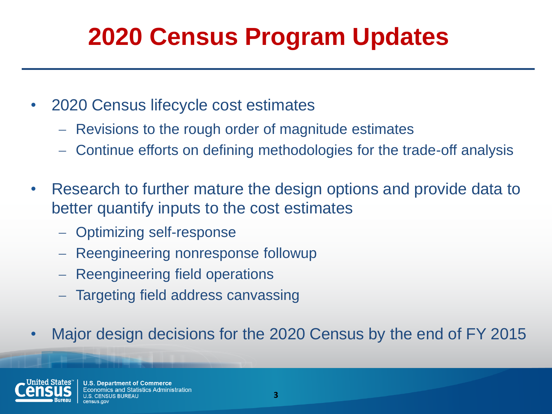# **2020 Census Program Updates**

- 2020 Census lifecycle cost estimates
	- Revisions to the rough order of magnitude estimates
	- Continue efforts on defining methodologies for the trade-off analysis
- Research to further mature the design options and provide data to better quantify inputs to the cost estimates
	- Optimizing self-response
	- Reengineering nonresponse followup
	- Reengineering field operations
	- Targeting field address canvassing
- Major design decisions for the 2020 Census by the end of FY 2015

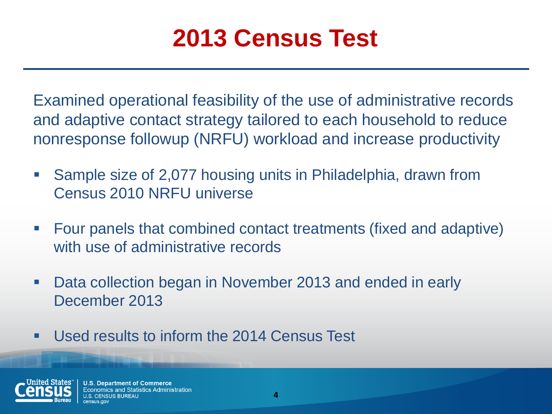## **2013 Census Test**

Examined operational feasibility of the use of administrative records and adaptive contact strategy tailored to each household to reduce nonresponse followup (NRFU) workload and increase productivity

- Sample size of 2,077 housing units in Philadelphia, drawn from Census 2010 NRFU universe
- Four panels that combined contact treatments (fixed and adaptive) with use of administrative records
- Data collection began in November 2013 and ended in early December 2013
- **Used results to inform the 2014 Census Test**



**U.S. Department of Commerce** nomics and Statistics Administration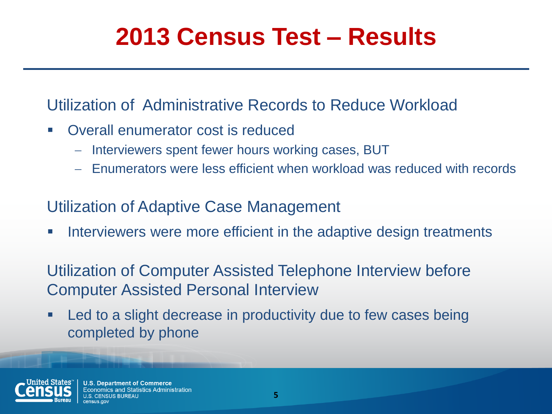## **2013 Census Test – Results**

#### Utilization of Administrative Records to Reduce Workload

- Overall enumerator cost is reduced
	- Interviewers spent fewer hours working cases, BUT
	- Enumerators were less efficient when workload was reduced with records

#### Utilization of Adaptive Case Management

**IF Interviewers were more efficient in the adaptive design treatments** 

Utilization of Computer Assisted Telephone Interview before Computer Assisted Personal Interview

■ Led to a slight decrease in productivity due to few cases being completed by phone



**U.S. Department of Commerce** Economics and Statistics Administration IS RUREAU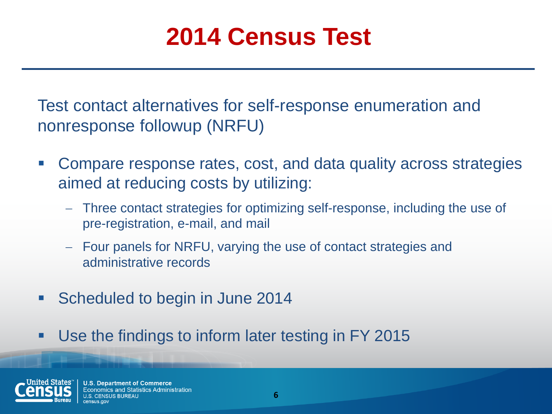## **2014 Census Test**

Test contact alternatives for self-response enumeration and nonresponse followup (NRFU)

- Compare response rates, cost, and data quality across strategies aimed at reducing costs by utilizing:
	- Three contact strategies for optimizing self-response, including the use of pre-registration, e-mail, and mail
	- Four panels for NRFU, varying the use of contact strategies and administrative records
- **Scheduled to begin in June 2014**
- **Use the findings to inform later testing in FY 2015**

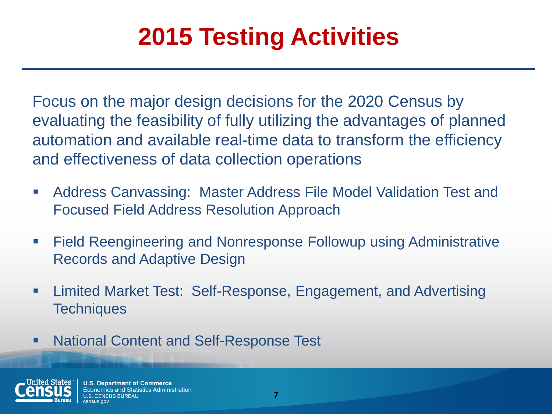# **2015 Testing Activities**

Focus on the major design decisions for the 2020 Census by evaluating the feasibility of fully utilizing the advantages of planned automation and available real-time data to transform the efficiency and effectiveness of data collection operations

- Address Canvassing: Master Address File Model Validation Test and Focused Field Address Resolution Approach
- Field Reengineering and Nonresponse Followup using Administrative Records and Adaptive Design
- Limited Market Test: Self-Response, Engagement, and Advertising **Techniques**
- **National Content and Self-Response Test**

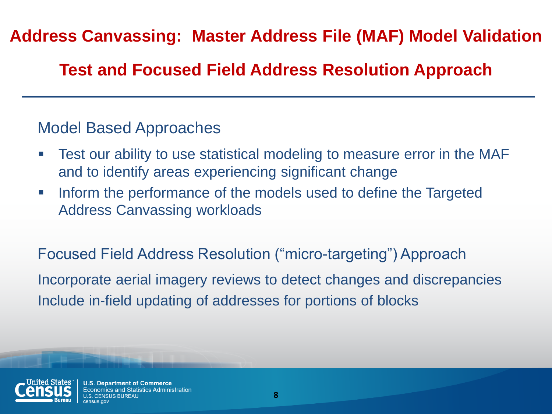#### **Address Canvassing: Master Address File (MAF) Model Validation**

#### **Test and Focused Field Address Resolution Approach**

#### Model Based Approaches

- Test our ability to use statistical modeling to measure error in the MAF and to identify areas experiencing significant change
- **Inform the performance of the models used to define the Targeted** Address Canvassing workloads

Focused Field Address Resolution ("micro-targeting") Approach Incorporate aerial imagery reviews to detect changes and discrepancies Include in-field updating of addresses for portions of blocks



**U.S. Department of Commerce** Economics and Statistics Administration **ILS BUREAU**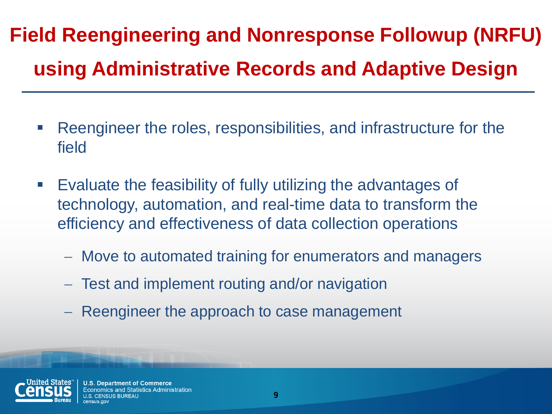# **Field Reengineering and Nonresponse Followup (NRFU) using Administrative Records and Adaptive Design**

- Reengineer the roles, responsibilities, and infrastructure for the field
- **Evaluate the feasibility of fully utilizing the advantages of** technology, automation, and real-time data to transform the efficiency and effectiveness of data collection operations
	- Move to automated training for enumerators and managers
	- Test and implement routing and/or navigation
	- Reengineer the approach to case management



**U.S. Department of Commerce** omics and Statistics Administration IS RUREAU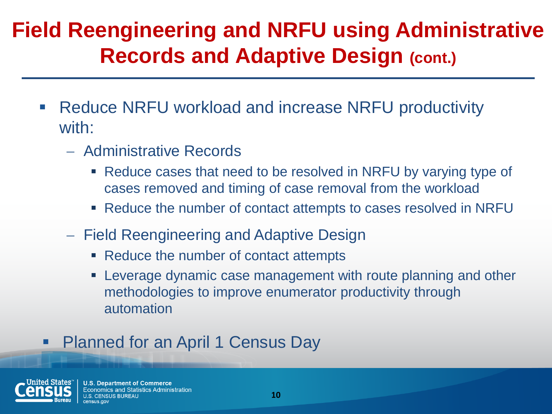### **Field Reengineering and NRFU using Administrative Records and Adaptive Design (cont.)**

- Reduce NRFU workload and increase NRFU productivity with:
	- Administrative Records
		- Reduce cases that need to be resolved in NRFU by varying type of cases removed and timing of case removal from the workload
		- Reduce the number of contact attempts to cases resolved in NRFU
	- Field Reengineering and Adaptive Design
		- Reduce the number of contact attempts
		- Leverage dynamic case management with route planning and other methodologies to improve enumerator productivity through automation

#### Planned for an April 1 Census Day



**U.S. Department of Commerce Economics and Statistics Administration SUS BUREAU**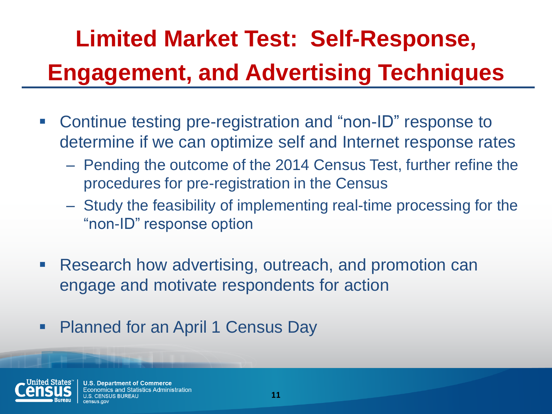# **Limited Market Test: Self-Response, Engagement, and Advertising Techniques**

- Continue testing pre-registration and "non-ID" response to determine if we can optimize self and Internet response rates
	- Pending the outcome of the 2014 Census Test, further refine the procedures for pre-registration in the Census
	- Study the feasibility of implementing real-time processing for the "non-ID" response option
- Research how advertising, outreach, and promotion can engage and motivate respondents for action
- Planned for an April 1 Census Day



**U.S. Department of Commerce** nomics and Statistics Administration IS RUREAU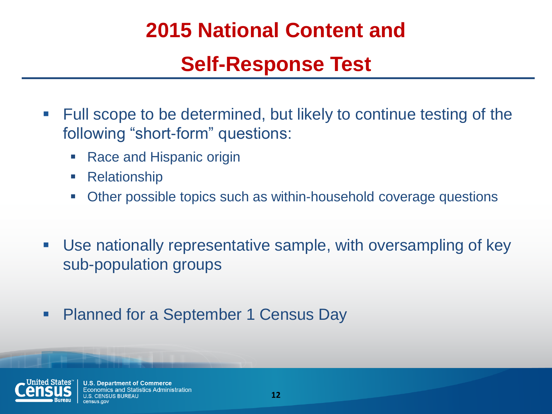### **2015 National Content and**

### **Self-Response Test**

- **Full scope to be determined, but likely to continue testing of the** following "short-form" questions:
	- Race and Hispanic origin
	- Relationship
	- Other possible topics such as within-household coverage questions
- Use nationally representative sample, with oversampling of key sub-population groups
- Planned for a September 1 Census Day



**U.S. Department of Commerce** Economics and Statistics Administration SUS BUREAU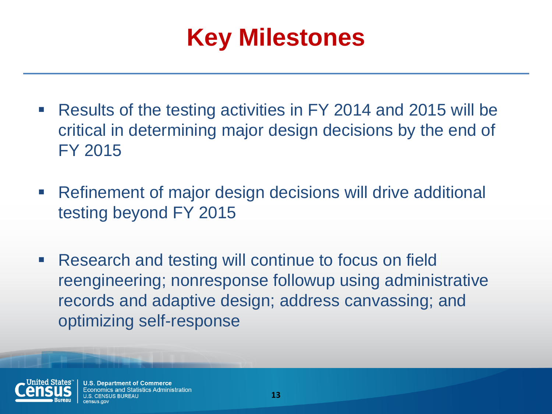

- Results of the testing activities in FY 2014 and 2015 will be critical in determining major design decisions by the end of FY 2015
- Refinement of major design decisions will drive additional testing beyond FY 2015
- **Research and testing will continue to focus on field** reengineering; nonresponse followup using administrative records and adaptive design; address canvassing; and optimizing self-response



**U.S. Department of Commerce Economics and Statistics Administration** SUS BUREAU